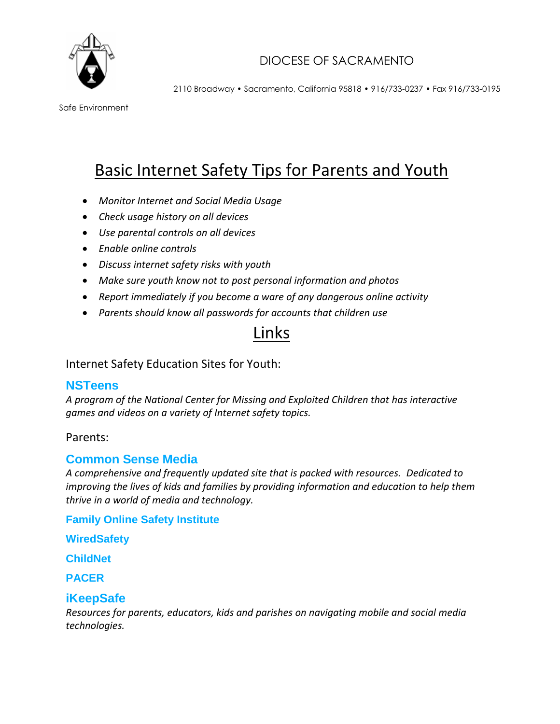

## DIOCESE OF SACRAMENTO

2110 Broadway • Sacramento, California 95818 • 916/733-0237 • Fax 916/733-0195

Safe Environment

# Basic Internet Safety Tips for Parents and Youth

- *Monitor Internet and Social Media Usage*
- *Check usage history on all devices*
- *Use parental controls on all devices*
- *Enable online controls*
- *Discuss internet safety risks with youth*
- *Make sure youth know not to post personal information and photos*
- *Report immediately if you become a ware of any dangerous online activity*
- *Parents should know all passwords for accounts that children use*

## Links

Internet Safety Education Sites for Youth:

#### **[NSTeens](http://www.nsteens.org/)**

*A program of the National Center for Missing and Exploited Children that has interactive games and videos on a variety of Internet safety topics.*

#### Parents:

#### **[Common Sense Media](https://www.commonsensemedia.org/)**

*A comprehensive and frequently updated site that is packed with resources. Dedicated to improving the lives of kids and families by providing information and education to help them thrive in a world of media and technology.*

**[Family Online Safety Institute](http://www.fosi.org/)**

**[WiredSafety](http://www.wiredsafety.org/)**

**[ChildNet](http://www.childnet.org/)**

**[PACER](http://www.pacer.org/)**

#### **[iKeepSafe](http://www.ikeepsafe.org/)**

*Resources for parents, educators, kids and parishes on navigating mobile and social media technologies.*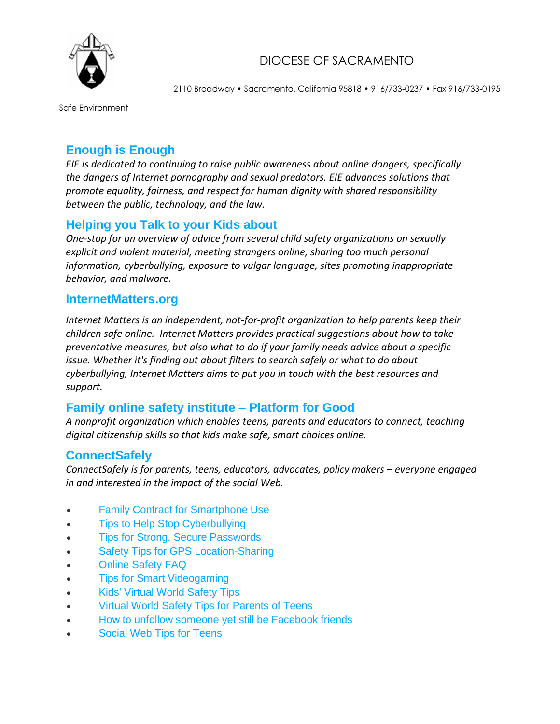

## DIOCESE OF SACRAMENTO

2110 Broadway • Sacramento, California 95818 • 916/733-0237 • Fax 916/733-0195

Safe Environment

## **[Enough is Enough](http://www.internetsafety101.org/)**

*EIE is dedicated to continuing to raise public awareness about online dangers, specifically the dangers of Internet pornography and sexual predators. EIE advances solutions that promote equality, fairness, and respect for human dignity with shared responsibility between the public, technology, and the law.*

#### **[Helping you Talk to your Kids about](https://safety.google/families/)**

*One-stop for an overview of advice from several child safety organizations on sexually explicit and violent material, meeting strangers online, sharing too much personal information, cyberbullying, exposure to vulgar language, sites promoting inappropriate behavior, and malware.*

#### **[InternetMatters.org](http://internetmatters.org/)**

*Internet Matters is an independent, not-for-profit organization to help parents keep their children safe online. Internet Matters provides practical suggestions about how to take preventative measures, but also what to do if your family needs advice about a specific issue. Whether it's finding out about filters to search safely or what to do about cyberbullying, Internet Matters aims to put you in touch with the best resources and support.*

#### **[Family online safety institute –](http://www.aplatformforgood.org/) Platform for Good**

*A nonprofit organization which enables teens, parents and educators to connect, teaching digital citizenship skills so that kids make safe, smart choices online.*

#### **[ConnectSafely](http://www.connectsafely.org/)**

*ConnectSafely is for parents, teens, educators, advocates, policy makers – everyone engaged in and interested in the impact of the social Web.*

- [Family Contract for Smartphone Use](http://www.connectsafely.org/family-contract-smartphone-use/)
- [Tips to Help Stop Cyberbullying](http://www.connectsafely.org/tips-to-help-stop-cyberbullying/)
- [Tips for Strong, Secure Passwords](http://www.connectsafely.org/tips-to-create-and-manage-strong-passwords/)
- [Safety Tips for GPS Location-Sharing](http://www.connectsafely.org/gps-location-sharing-tips/)
- [Online Safety FAQ](http://www.connectsafely.org/online-safety-qaa/)
- [Tips for Smart Videogaming](http://www.connectsafely.org/smart-tips-for-videogaming/)
- [Kids' Virtual World Safety Tips](http://www.connectsafely.org/virtual-world-safety-tips-kids/)
- [Virtual World Safety Tips for Parents of Teens](http://www.connectsafely.org/virtual-world-safety-tips-teens/)
- [How to unfollow someone yet still be Facebook friends](http://www.connectsafely.org/unfollow-someone-yet-still-facebook-friends/)
- [Social Web Tips for Teens](http://www.connectsafely.org/social-web-tips-for-teens/)